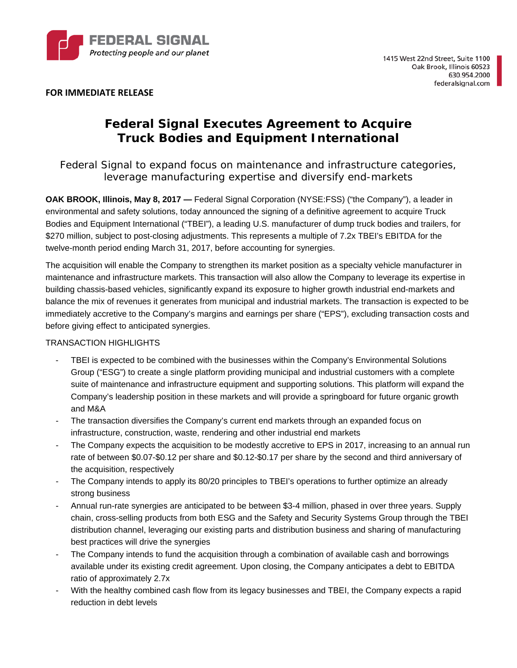

**FOR IMMEDIATE RELEASE**

# **Federal Signal Executes Agreement to Acquire Truck Bodies and Equipment International**

*Federal Signal to expand focus on maintenance and infrastructure categories, leverage manufacturing expertise and diversify end-markets* 

**OAK BROOK, Illinois, May 8, 2017 —** Federal Signal Corporation (NYSE:FSS) ("the Company"), a leader in environmental and safety solutions, today announced the signing of a definitive agreement to acquire Truck Bodies and Equipment International ("TBEI"), a leading U.S. manufacturer of dump truck bodies and trailers, for \$270 million, subject to post-closing adjustments. This represents a multiple of 7.2x TBEI's EBITDA for the twelve-month period ending March 31, 2017, before accounting for synergies.

The acquisition will enable the Company to strengthen its market position as a specialty vehicle manufacturer in maintenance and infrastructure markets. This transaction will also allow the Company to leverage its expertise in building chassis-based vehicles, significantly expand its exposure to higher growth industrial end-markets and balance the mix of revenues it generates from municipal and industrial markets. The transaction is expected to be immediately accretive to the Company's margins and earnings per share ("EPS"), excluding transaction costs and before giving effect to anticipated synergies.

## TRANSACTION HIGHLIGHTS

- TBEI is expected to be combined with the businesses within the Company's Environmental Solutions Group ("ESG") to create a single platform providing municipal and industrial customers with a complete suite of maintenance and infrastructure equipment and supporting solutions. This platform will expand the Company's leadership position in these markets and will provide a springboard for future organic growth and M&A
- The transaction diversifies the Company's current end markets through an expanded focus on infrastructure, construction, waste, rendering and other industrial end markets
- The Company expects the acquisition to be modestly accretive to EPS in 2017, increasing to an annual run rate of between \$0.07-\$0.12 per share and \$0.12-\$0.17 per share by the second and third anniversary of the acquisition, respectively
- The Company intends to apply its 80/20 principles to TBEI's operations to further optimize an already strong business
- Annual run-rate synergies are anticipated to be between \$3-4 million, phased in over three years. Supply chain, cross-selling products from both ESG and the Safety and Security Systems Group through the TBEI distribution channel, leveraging our existing parts and distribution business and sharing of manufacturing best practices will drive the synergies
- The Company intends to fund the acquisition through a combination of available cash and borrowings available under its existing credit agreement. Upon closing, the Company anticipates a debt to EBITDA ratio of approximately 2.7x
- With the healthy combined cash flow from its legacy businesses and TBEI, the Company expects a rapid reduction in debt levels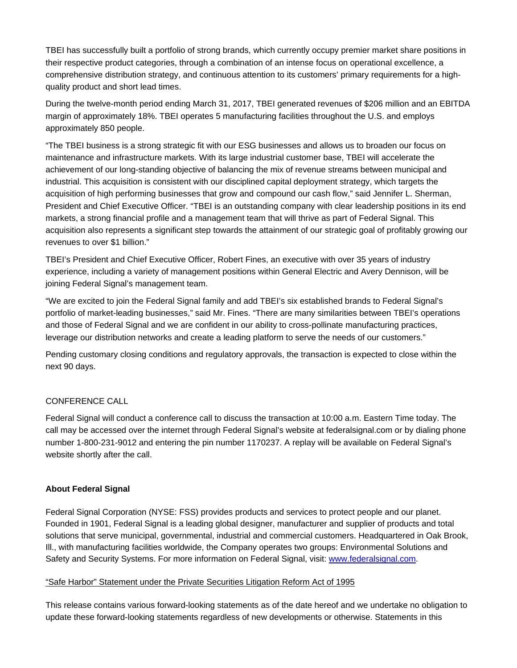TBEI has successfully built a portfolio of strong brands, which currently occupy premier market share positions in their respective product categories, through a combination of an intense focus on operational excellence, a comprehensive distribution strategy, and continuous attention to its customers' primary requirements for a highquality product and short lead times.

During the twelve-month period ending March 31, 2017, TBEI generated revenues of \$206 million and an EBITDA margin of approximately 18%. TBEI operates 5 manufacturing facilities throughout the U.S. and employs approximately 850 people.

"The TBEI business is a strong strategic fit with our ESG businesses and allows us to broaden our focus on maintenance and infrastructure markets. With its large industrial customer base, TBEI will accelerate the achievement of our long-standing objective of balancing the mix of revenue streams between municipal and industrial. This acquisition is consistent with our disciplined capital deployment strategy, which targets the acquisition of high performing businesses that grow and compound our cash flow," said Jennifer L. Sherman, President and Chief Executive Officer. "TBEI is an outstanding company with clear leadership positions in its end markets, a strong financial profile and a management team that will thrive as part of Federal Signal. This acquisition also represents a significant step towards the attainment of our strategic goal of profitably growing our revenues to over \$1 billion."

TBEI's President and Chief Executive Officer, Robert Fines, an executive with over 35 years of industry experience, including a variety of management positions within General Electric and Avery Dennison, will be joining Federal Signal's management team.

"We are excited to join the Federal Signal family and add TBEI's six established brands to Federal Signal's portfolio of market-leading businesses," said Mr. Fines. "There are many similarities between TBEI's operations and those of Federal Signal and we are confident in our ability to cross-pollinate manufacturing practices, leverage our distribution networks and create a leading platform to serve the needs of our customers."

Pending customary closing conditions and regulatory approvals, the transaction is expected to close within the next 90 days.

### CONFERENCE CALL

Federal Signal will conduct a conference call to discuss the transaction at 10:00 a.m. Eastern Time today. The call may be accessed over the internet through Federal Signal's website at federalsignal.com or by dialing phone number 1-800-231-9012 and entering the pin number 1170237. A replay will be available on Federal Signal's website shortly after the call.

### **About Federal Signal**

Federal Signal Corporation (NYSE: FSS) provides products and services to protect people and our planet. Founded in 1901, Federal Signal is a leading global designer, manufacturer and supplier of products and total solutions that serve municipal, governmental, industrial and commercial customers. Headquartered in Oak Brook, Ill., with manufacturing facilities worldwide, the Company operates two groups: Environmental Solutions and Safety and Security Systems. For more information on Federal Signal, visit: www.federalsignal.com.

### "Safe Harbor" Statement under the Private Securities Litigation Reform Act of 1995

This release contains various forward-looking statements as of the date hereof and we undertake no obligation to update these forward-looking statements regardless of new developments or otherwise. Statements in this